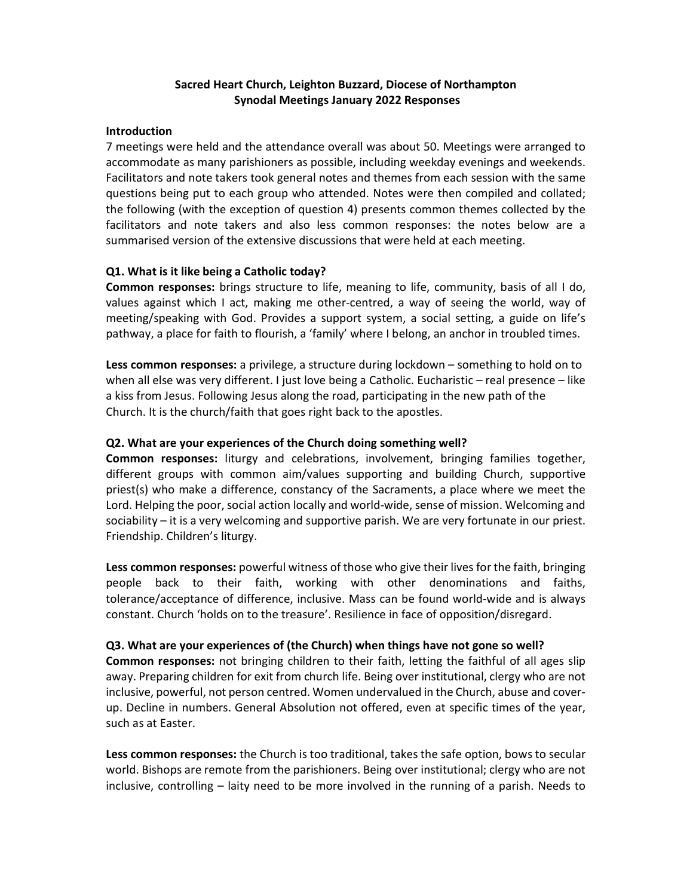# Sacred Heart Church, Leighton Buzzard, Diocese of Northampton Synodal Meetings January 2022 Responses

#### Introduction

7 meetings were held and the attendance overall was about 50. Meetings were arranged to accommodate as many parishioners as possible, including weekday evenings and weekends. Facilitators and note takers took general notes and themes from each session with the same questions being put to each group who attended. Notes were then compiled and collated; the following (with the exception of question 4) presents common themes collected by the facilitators and note takers and also less common responses: the notes below are a summarised version of the extensive discussions that were held at each meeting.

### Q1. What is it like being a Catholic today?

Common responses: brings structure to life, meaning to life, community, basis of all I do, values against which I act, making me other-centred, a way of seeing the world, way of meeting/speaking with God. Provides a support system, a social setting, a guide on life's pathway, a place for faith to flourish, a 'family' where I belong, an anchor in troubled times.

Less common responses: a privilege, a structure during lockdown – something to hold on to when all else was very different. I just love being a Catholic. Eucharistic – real presence – like a kiss from Jesus. Following Jesus along the road, participating in the new path of the Church. It is the church/faith that goes right back to the apostles.

## Q2. What are your experiences of the Church doing something well?

Common responses: liturgy and celebrations, involvement, bringing families together, different groups with common aim/values supporting and building Church, supportive priest(s) who make a difference, constancy of the Sacraments, a place where we meet the Lord. Helping the poor, social action locally and world-wide, sense of mission. Welcoming and sociability – it is a very welcoming and supportive parish. We are very fortunate in our priest. Friendship. Children's liturgy.

Less common responses: powerful witness of those who give their lives for the faith, bringing people back to their faith, working with other denominations and faiths, tolerance/acceptance of difference, inclusive. Mass can be found world-wide and is always constant. Church 'holds on to the treasure'. Resilience in face of opposition/disregard.

### Q3. What are your experiences of (the Church) when things have not gone so well?

Common responses: not bringing children to their faith, letting the faithful of all ages slip away. Preparing children for exit from church life. Being over institutional, clergy who are not inclusive, powerful, not person centred. Women undervalued in the Church, abuse and coverup. Decline in numbers. General Absolution not offered, even at specific times of the year, such as at Easter.

Less common responses: the Church is too traditional, takes the safe option, bows to secular world. Bishops are remote from the parishioners. Being over institutional; clergy who are not inclusive, controlling – laity need to be more involved in the running of a parish. Needs to